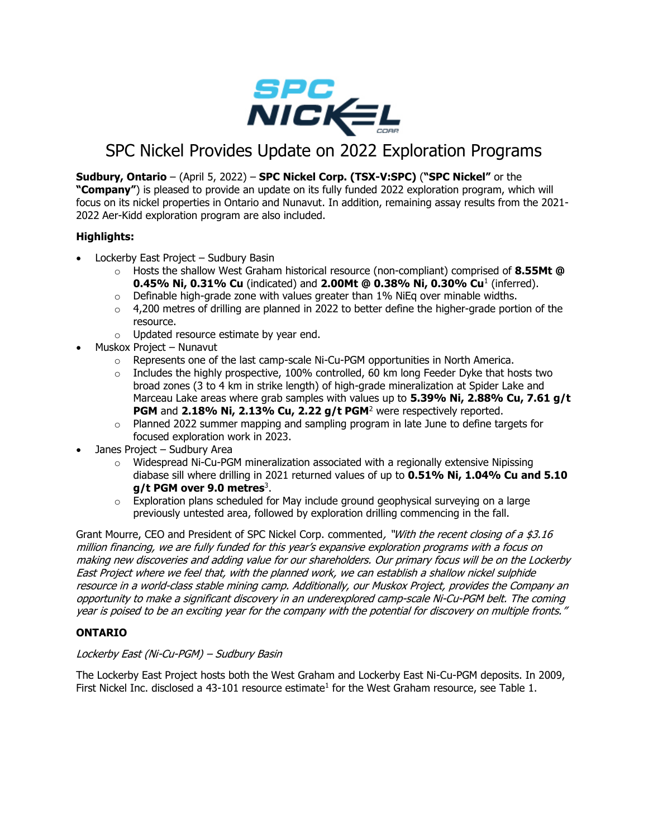

# SPC Nickel Provides Update on 2022 Exploration Programs

**Sudbury, Ontario** – (April 5, 2022) – **SPC Nickel Corp. (TSX-V:SPC)** (**"SPC Nickel"** or the **"Company"**) is pleased to provide an update on its fully funded 2022 exploration program, which will focus on its nickel properties in Ontario and Nunavut. In addition, remaining assay results from the 2021- 2022 Aer-Kidd exploration program are also included.

# **Highlights:**

- Lockerby East Project Sudbury Basin
	- o Hosts the shallow West Graham historical resource (non-compliant) comprised of **8.55Mt @ 0.45% Ni, 0.31% Cu** (indicated) and **2.00Mt @ 0.38% Ni, 0.30% Cu**<sup>1</sup> (inferred).
	- $\circ$  Definable high-grade zone with values greater than 1% NiEq over minable widths.
	- $\circ$  4,200 metres of drilling are planned in 2022 to better define the higher-grade portion of the resource.
	- o Updated resource estimate by year end.
- Muskox Project Nunavut
	- $\circ$  Represents one of the last camp-scale Ni-Cu-PGM opportunities in North America.
	- $\circ$  Includes the highly prospective, 100% controlled, 60 km long Feeder Dyke that hosts two broad zones (3 to 4 km in strike length) of high-grade mineralization at Spider Lake and Marceau Lake areas where grab samples with values up to **5.39% Ni, 2.88% Cu, 7.61 g/t PGM** and **2.18% Ni, 2.13% Cu, 2.22 g/t PGM<sup>2</sup> were respectively reported.**
	- $\circ$  Planned 2022 summer mapping and sampling program in late June to define targets for focused exploration work in 2023.
- Janes Project Sudbury Area
	- $\circ$  Widespread Ni-Cu-PGM mineralization associated with a regionally extensive Nipissing diabase sill where drilling in 2021 returned values of up to **0.51% Ni, 1.04% Cu and 5.10 g/t PGM over 9.0 metres**<sup>3</sup> .
	- $\circ$  Exploration plans scheduled for May include ground geophysical surveying on a large previously untested area, followed by exploration drilling commencing in the fall.

Grant Mourre, CEO and President of SPC Nickel Corp. commented, "With the recent closing of a \$3.16 million financing, we are fully funded for this year's expansive exploration programs with a focus on making new discoveries and adding value for our shareholders. Our primary focus will be on the Lockerby East Project where we feel that, with the planned work, we can establish a shallow nickel sulphide resource in a world-class stable mining camp. Additionally, our Muskox Project, provides the Company an opportunity to make a significant discovery in an underexplored camp-scale Ni-Cu-PGM belt. The coming year is poised to be an exciting year for the company with the potential for discovery on multiple fronts."

# **ONTARIO**

# Lockerby East (Ni-Cu-PGM) – Sudbury Basin

The Lockerby East Project hosts both the West Graham and Lockerby East Ni-Cu-PGM deposits. In 2009, First Nickel Inc. disclosed a 43-101 resource estimate<sup>1</sup> for the West Graham resource, see Table 1.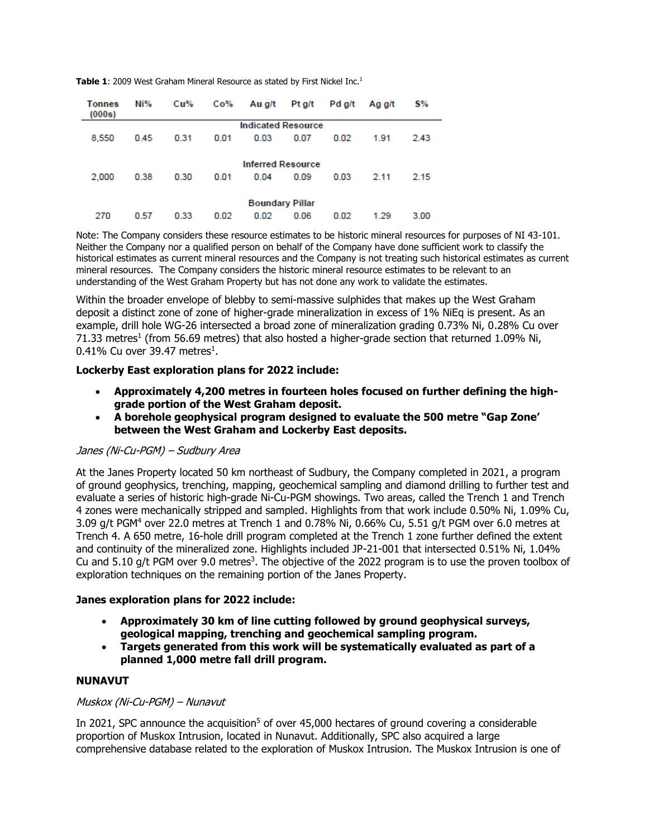Table 1: 2009 West Graham Mineral Resource as stated by First Nickel Inc.<sup>1</sup>

| Tonnes<br>(000s) | Ni%                       | Cu%  | Co%  | Au g/t                 | Pt g/t | Pd g/t | Ag g/t | $S\%$ |  |  |  |
|------------------|---------------------------|------|------|------------------------|--------|--------|--------|-------|--|--|--|
|                  | <b>Indicated Resource</b> |      |      |                        |        |        |        |       |  |  |  |
| 8,550            | 0.45                      | 0.31 | 0.01 | 0.03                   | 0.07   | 0.02   | 1.91   | 2.43  |  |  |  |
|                  | <b>Inferred Resource</b>  |      |      |                        |        |        |        |       |  |  |  |
| 2.000            | 0.38                      | 0.30 | 0.01 | 0.04                   | 0.09   | 0.03   | 2.11   | 2.15  |  |  |  |
|                  |                           |      |      | <b>Boundary Pillar</b> |        |        |        |       |  |  |  |
| 270              | 0.57                      | 0.33 | 0.02 | 0.02                   | 0.06   | 0.02   | 1.29   | 3.00  |  |  |  |

Note: The Company considers these resource estimates to be historic mineral resources for purposes of NI 43-101. Neither the Company nor a qualified person on behalf of the Company have done sufficient work to classify the historical estimates as current mineral resources and the Company is not treating such historical estimates as current mineral resources. The Company considers the historic mineral resource estimates to be relevant to an understanding of the West Graham Property but has not done any work to validate the estimates.

Within the broader envelope of blebby to semi-massive sulphides that makes up the West Graham deposit a distinct zone of zone of higher-grade mineralization in excess of 1% NiEq is present. As an example, drill hole WG-26 intersected a broad zone of mineralization grading 0.73% Ni, 0.28% Cu over 71.33 metres<sup>1</sup> (from 56.69 metres) that also hosted a higher-grade section that returned 1.09% Ni,  $0.41\%$  Cu over 39.47 metres<sup>1</sup>.

## **Lockerby East exploration plans for 2022 include:**

- **Approximately 4,200 metres in fourteen holes focused on further defining the highgrade portion of the West Graham deposit.**
- **A borehole geophysical program designed to evaluate the 500 metre "Gap Zone' between the West Graham and Lockerby East deposits.**

## Janes (Ni-Cu-PGM) – Sudbury Area

At the Janes Property located 50 km northeast of Sudbury, the Company completed in 2021, a program of ground geophysics, trenching, mapping, geochemical sampling and diamond drilling to further test and evaluate a series of historic high-grade Ni-Cu-PGM showings. Two areas, called the Trench 1 and Trench 4 zones were mechanically stripped and sampled. Highlights from that work include 0.50% Ni, 1.09% Cu, 3.09 g/t PGM<sup>4</sup> over 22.0 metres at Trench 1 and 0.78% Ni, 0.66% Cu, 5.51 g/t PGM over 6.0 metres at Trench 4. A 650 metre, 16-hole drill program completed at the Trench 1 zone further defined the extent and continuity of the mineralized zone. Highlights included JP-21-001 that intersected 0.51% Ni, 1.04% Cu and 5.10 g/t PGM over 9.0 metres<sup>3</sup>. The objective of the 2022 program is to use the proven toolbox of exploration techniques on the remaining portion of the Janes Property.

## **Janes exploration plans for 2022 include:**

- **Approximately 30 km of line cutting followed by ground geophysical surveys, geological mapping, trenching and geochemical sampling program.**
- **Targets generated from this work will be systematically evaluated as part of a planned 1,000 metre fall drill program.**

# **NUNAVUT**

## Muskox (Ni-Cu-PGM) – Nunavut

In 2021, SPC announce the acquisition<sup>5</sup> of over 45,000 hectares of ground covering a considerable proportion of Muskox Intrusion, located in Nunavut. Additionally, SPC also acquired a large comprehensive database related to the exploration of Muskox Intrusion. The Muskox Intrusion is one of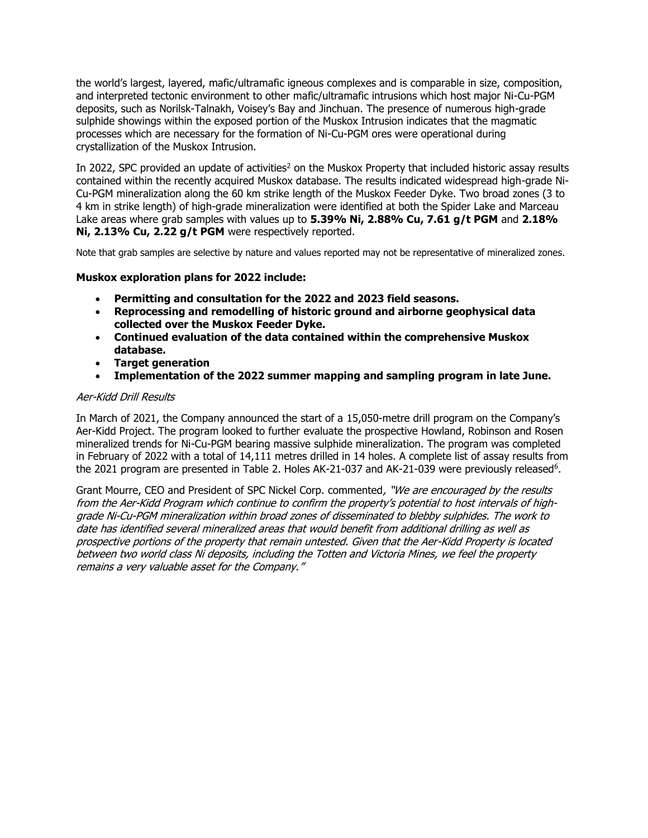the world's largest, layered, mafic/ultramafic igneous complexes and is comparable in size, composition, and interpreted tectonic environment to other mafic/ultramafic intrusions which host major Ni-Cu-PGM deposits, such as Norilsk-Talnakh, Voisey's Bay and Jinchuan. The presence of numerous high-grade sulphide showings within the exposed portion of the Muskox Intrusion indicates that the magmatic processes which are necessary for the formation of Ni-Cu-PGM ores were operational during crystallization of the Muskox Intrusion.

In 2022, SPC provided an update of activities<sup>2</sup> on the Muskox Property that included historic assay results contained within the recently acquired Muskox database. The results indicated widespread high-grade Ni-Cu-PGM mineralization along the 60 km strike length of the Muskox Feeder Dyke. Two broad zones (3 to 4 km in strike length) of high-grade mineralization were identified at both the Spider Lake and Marceau Lake areas where grab samples with values up to **5.39% Ni, 2.88% Cu, 7.61 g/t PGM** and **2.18% Ni, 2.13% Cu, 2.22 g/t PGM** were respectively reported.

Note that grab samples are selective by nature and values reported may not be representative of mineralized zones.

# **Muskox exploration plans for 2022 include:**

- **Permitting and consultation for the 2022 and 2023 field seasons.**
- **Reprocessing and remodelling of historic ground and airborne geophysical data collected over the Muskox Feeder Dyke.**
- **Continued evaluation of the data contained within the comprehensive Muskox database.**
- **Target generation**
- **Implementation of the 2022 summer mapping and sampling program in late June.**

# Aer-Kidd Drill Results

In March of 2021, the Company announced the start of a 15,050-metre drill program on the Company's Aer-Kidd Project. The program looked to further evaluate the prospective Howland, Robinson and Rosen mineralized trends for Ni-Cu-PGM bearing massive sulphide mineralization. The program was completed in February of 2022 with a total of 14,111 metres drilled in 14 holes. A complete list of assay results from the 2021 program are presented in Table 2. Holes AK-21-037 and AK-21-039 were previously released<sup>6</sup>.

Grant Mourre, CEO and President of SPC Nickel Corp. commented, "We are encouraged by the results from the Aer-Kidd Program which continue to confirm the property's potential to host intervals of highgrade Ni-Cu-PGM mineralization within broad zones of disseminated to blebby sulphides. The work to date has identified several mineralized areas that would benefit from additional drilling as well as prospective portions of the property that remain untested. Given that the Aer-Kidd Property is located between two world class Ni deposits, including the Totten and Victoria Mines, we feel the property remains a very valuable asset for the Company."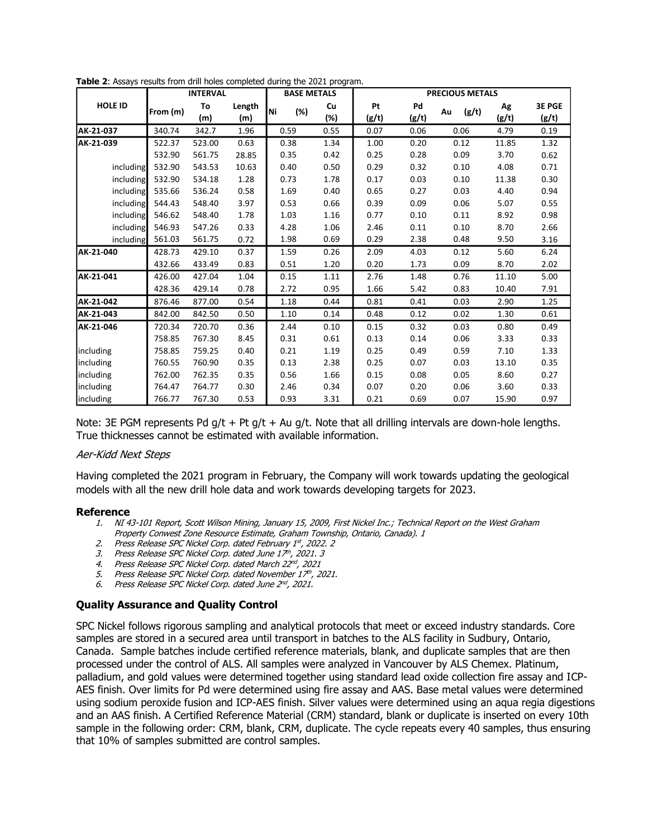|                | <b>INTERVAL</b> |        |        | <b>BASE METALS</b> |      | <b>PRECIOUS METALS</b> |       |             |       |               |  |
|----------------|-----------------|--------|--------|--------------------|------|------------------------|-------|-------------|-------|---------------|--|
| <b>HOLE ID</b> | From (m)        | To     | Length | lNi<br>(%)         | Cu   | Pt                     | Pd    | (g/t)<br>Au | Ag    | <b>3E PGE</b> |  |
|                |                 | (m)    | (m)    |                    | (%)  | (g/t)                  | (g/t) |             | (g/t) | (g/t)         |  |
| AK-21-037      | 340.74          | 342.7  | 1.96   | 0.59               | 0.55 | 0.07                   | 0.06  | 0.06        | 4.79  | 0.19          |  |
| AK-21-039      | 522.37          | 523.00 | 0.63   | 0.38               | 1.34 | 1.00                   | 0.20  | 0.12        | 11.85 | 1.32          |  |
|                | 532.90          | 561.75 | 28.85  | 0.35               | 0.42 | 0.25                   | 0.28  | 0.09        | 3.70  | 0.62          |  |
| including      | 532.90          | 543.53 | 10.63  | 0.40               | 0.50 | 0.29                   | 0.32  | 0.10        | 4.08  | 0.71          |  |
| including      | 532.90          | 534.18 | 1.28   | 0.73               | 1.78 | 0.17                   | 0.03  | 0.10        | 11.38 | 0.30          |  |
| including      | 535.66          | 536.24 | 0.58   | 1.69               | 0.40 | 0.65                   | 0.27  | 0.03        | 4.40  | 0.94          |  |
| including      | 544.43          | 548.40 | 3.97   | 0.53               | 0.66 | 0.39                   | 0.09  | 0.06        | 5.07  | 0.55          |  |
| including      | 546.62          | 548.40 | 1.78   | 1.03               | 1.16 | 0.77                   | 0.10  | 0.11        | 8.92  | 0.98          |  |
| including      | 546.93          | 547.26 | 0.33   | 4.28               | 1.06 | 2.46                   | 0.11  | 0.10        | 8.70  | 2.66          |  |
| including      | 561.03          | 561.75 | 0.72   | 1.98               | 0.69 | 0.29                   | 2.38  | 0.48        | 9.50  | 3.16          |  |
| AK-21-040      | 428.73          | 429.10 | 0.37   | 1.59               | 0.26 | 2.09                   | 4.03  | 0.12        | 5.60  | 6.24          |  |
|                | 432.66          | 433.49 | 0.83   | 0.51               | 1.20 | 0.20                   | 1.73  | 0.09        | 8.70  | 2.02          |  |
| AK-21-041      | 426.00          | 427.04 | 1.04   | 0.15               | 1.11 | 2.76                   | 1.48  | 0.76        | 11.10 | 5.00          |  |
|                | 428.36          | 429.14 | 0.78   | 2.72               | 0.95 | 1.66                   | 5.42  | 0.83        | 10.40 | 7.91          |  |
| AK-21-042      | 876.46          | 877.00 | 0.54   | 1.18               | 0.44 | 0.81                   | 0.41  | 0.03        | 2.90  | 1.25          |  |
| AK-21-043      | 842.00          | 842.50 | 0.50   | 1.10               | 0.14 | 0.48                   | 0.12  | 0.02        | 1.30  | 0.61          |  |
| AK-21-046      | 720.34          | 720.70 | 0.36   | 2.44               | 0.10 | 0.15                   | 0.32  | 0.03        | 0.80  | 0.49          |  |
|                | 758.85          | 767.30 | 8.45   | 0.31               | 0.61 | 0.13                   | 0.14  | 0.06        | 3.33  | 0.33          |  |
| including      | 758.85          | 759.25 | 0.40   | 0.21               | 1.19 | 0.25                   | 0.49  | 0.59        | 7.10  | 1.33          |  |
| including      | 760.55          | 760.90 | 0.35   | 0.13               | 2.38 | 0.25                   | 0.07  | 0.03        | 13.10 | 0.35          |  |
| including      | 762.00          | 762.35 | 0.35   | 0.56               | 1.66 | 0.15                   | 0.08  | 0.05        | 8.60  | 0.27          |  |
| including      | 764.47          | 764.77 | 0.30   | 2.46               | 0.34 | 0.07                   | 0.20  | 0.06        | 3.60  | 0.33          |  |
| including      | 766.77          | 767.30 | 0.53   | 0.93               | 3.31 | 0.21                   | 0.69  | 0.07        | 15.90 | 0.97          |  |

**Table 2**: Assays results from drill holes completed during the 2021 program.

Note: 3E PGM represents Pd  $g/t + Pt$  g/t + Au g/t. Note that all drilling intervals are down-hole lengths. True thicknesses cannot be estimated with available information.

## Aer-Kidd Next Steps

Having completed the 2021 program in February, the Company will work towards updating the geological models with all the new drill hole data and work towards developing targets for 2023.

#### **Reference**

- 1. NI 43-101 Report, Scott Wilson Mining, January 15, 2009, First Nickel Inc.; Technical Report on the West Graham Property Conwest Zone Resource Estimate, Graham Township, Ontario, Canada). 1
- 2. Press Release SPC Nickel Corp. dated February 1st , 2022. 2
- 3. Press Release SPC Nickel Corp. dated June 17th, 2021. 3
- 4. Press Release SPC Nickel Corp. dated March 22<sup>nd</sup>, 2021
- 5. Press Release SPC Nickel Corp. dated November 17th, 2021.
- 6. Press Release SPC Nickel Corp. dated June 2nd, 2021.

## **Quality Assurance and Quality Control**

SPC Nickel follows rigorous sampling and analytical protocols that meet or exceed industry standards. Core samples are stored in a secured area until transport in batches to the ALS facility in Sudbury, Ontario, Canada. Sample batches include certified reference materials, blank, and duplicate samples that are then processed under the control of ALS. All samples were analyzed in Vancouver by ALS Chemex. Platinum, palladium, and gold values were determined together using standard lead oxide collection fire assay and ICP-AES finish. Over limits for Pd were determined using fire assay and AAS. Base metal values were determined using sodium peroxide fusion and ICP-AES finish. Silver values were determined using an aqua regia digestions and an AAS finish. A Certified Reference Material (CRM) standard, blank or duplicate is inserted on every 10th sample in the following order: CRM, blank, CRM, duplicate. The cycle repeats every 40 samples, thus ensuring that 10% of samples submitted are control samples.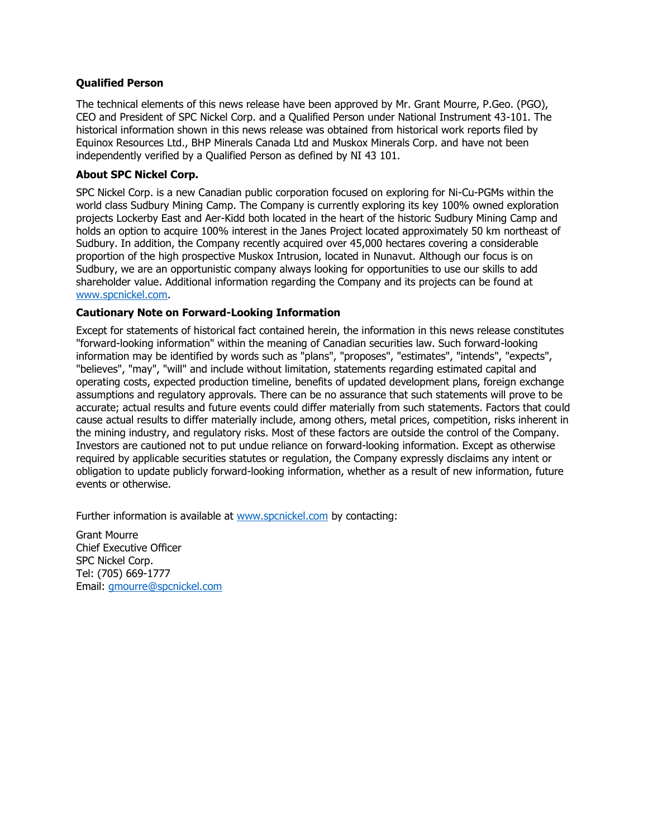## **Qualified Person**

The technical elements of this news release have been approved by Mr. Grant Mourre, P.Geo. (PGO), CEO and President of SPC Nickel Corp. and a Qualified Person under National Instrument 43-101. The historical information shown in this news release was obtained from historical work reports filed by Equinox Resources Ltd., BHP Minerals Canada Ltd and Muskox Minerals Corp. and have not been independently verified by a Qualified Person as defined by NI 43 101.

## **About SPC Nickel Corp.**

SPC Nickel Corp. is a new Canadian public corporation focused on exploring for Ni-Cu-PGMs within the world class Sudbury Mining Camp. The Company is currently exploring its key 100% owned exploration projects Lockerby East and Aer-Kidd both located in the heart of the historic Sudbury Mining Camp and holds an option to acquire 100% interest in the Janes Project located approximately 50 km northeast of Sudbury. In addition, the Company recently acquired over 45,000 hectares covering a considerable proportion of the high prospective Muskox Intrusion, located in Nunavut. Although our focus is on Sudbury, we are an opportunistic company always looking for opportunities to use our skills to add shareholder value. Additional information regarding the Company and its projects can be found at [www.spcnickel.com.](http://www.spcnickel.com/)

## **Cautionary Note on Forward-Looking Information**

Except for statements of historical fact contained herein, the information in this news release constitutes "forward-looking information" within the meaning of Canadian securities law. Such forward-looking information may be identified by words such as "plans", "proposes", "estimates", "intends", "expects", "believes", "may", "will" and include without limitation, statements regarding estimated capital and operating costs, expected production timeline, benefits of updated development plans, foreign exchange assumptions and regulatory approvals. There can be no assurance that such statements will prove to be accurate; actual results and future events could differ materially from such statements. Factors that could cause actual results to differ materially include, among others, metal prices, competition, risks inherent in the mining industry, and regulatory risks. Most of these factors are outside the control of the Company. Investors are cautioned not to put undue reliance on forward-looking information. Except as otherwise required by applicable securities statutes or regulation, the Company expressly disclaims any intent or obligation to update publicly forward-looking information, whether as a result of new information, future events or otherwise.

Further information is available at [www.spcnickel.com](http://www.spcnickel.com/) by contacting:

Grant Mourre Chief Executive Officer SPC Nickel Corp. Tel: (705) 669-1777 Email: [gmourre@spcnickel.com](mailto:gmourre@spcnickel.com)